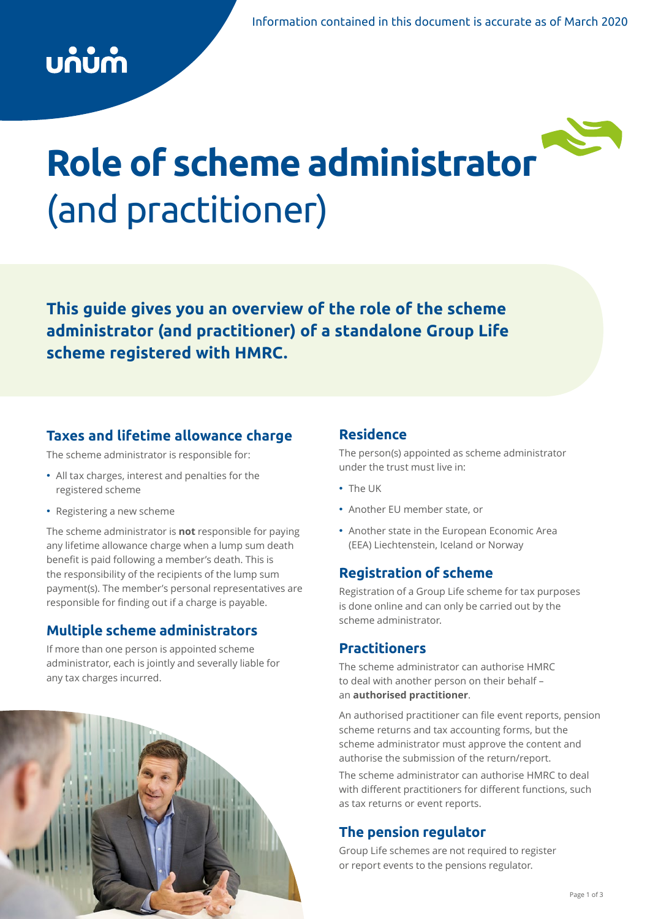## บก๋บ๋กำ



# **Role of scheme administrator**  (and practitioner)

**This guide gives you an overview of the role of the scheme administrator (and practitioner) of a standalone Group Life scheme registered with HMRC.**

## **Taxes and lifetime allowance charge**

The scheme administrator is responsible for:

- All tax charges, interest and penalties for the registered scheme
- Registering a new scheme

The scheme administrator is **not** responsible for paying any lifetime allowance charge when a lump sum death benefit is paid following a member's death. This is the responsibility of the recipients of the lump sum payment(s). The member's personal representatives are responsible for finding out if a charge is payable.

## **Multiple scheme administrators**

If more than one person is appointed scheme administrator, each is jointly and severally liable for any tax charges incurred.



## **Residence**

The person(s) appointed as scheme administrator under the trust must live in:

- The UK
- Another EU member state, or
- Another state in the European Economic Area (EEA) Liechtenstein, Iceland or Norway

## **Registration of scheme**

Registration of a Group Life scheme for tax purposes is done online and can only be carried out by the scheme administrator.

## **Practitioners**

The scheme administrator can authorise HMRC to deal with another person on their behalf – an **authorised practitioner**.

An authorised practitioner can file event reports, pension scheme returns and tax accounting forms, but the scheme administrator must approve the content and authorise the submission of the return/report.

The scheme administrator can authorise HMRC to deal with different practitioners for different functions, such as tax returns or event reports.

## **The pension regulator**

Group Life schemes are not required to register or report events to the pensions regulator.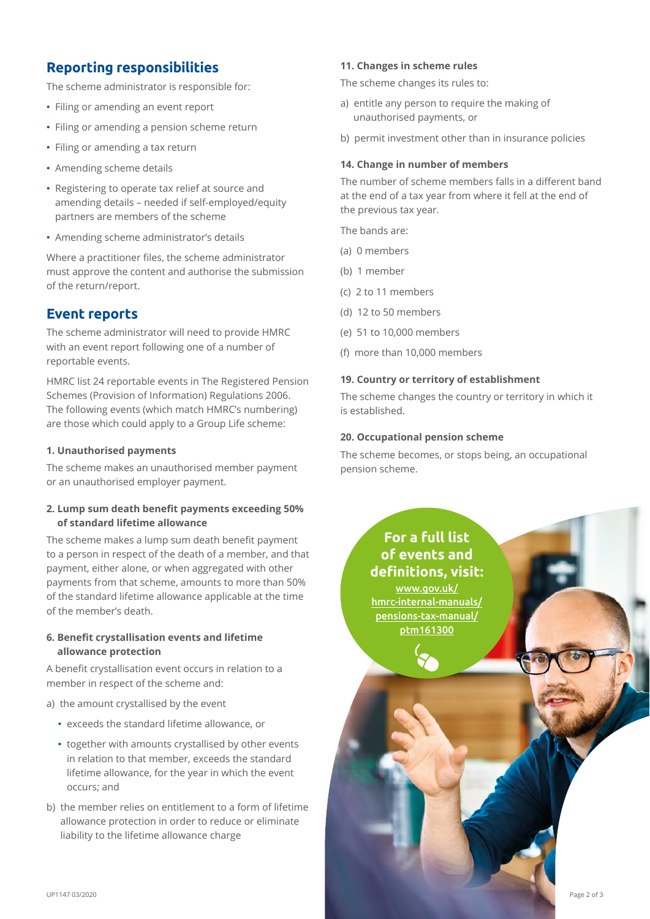## **Reporting responsibilities**

The scheme administrator is responsible for:

- Filing or amending an event report
- Filing or amending a pension scheme return
- Filing or amending a tax return
- Amending scheme details
- Registering to operate tax relief at source and amending details – needed if self-employed/equity partners are members of the scheme
- Amending scheme administrator's details

Where a practitioner files, the scheme administrator must approve the content and authorise the submission of the return/report.

## **Event reports**

The scheme administrator will need to provide HMRC with an event report following one of a number of reportable events.

HMRC list 24 reportable events in The Registered Pension Schemes (Provision of Information) Regulations 2006. The following events (which match HMRC's numbering) are those which could apply to a Group Life scheme:

#### **1. Unauthorised payments**

The scheme makes an unauthorised member payment or an unauthorised employer payment.

#### **2. Lump sum death benefit payments exceeding 50% of standard lifetime allowance**

The scheme makes a lump sum death benefit payment to a person in respect of the death of a member, and that payment, either alone, or when aggregated with other payments from that scheme, amounts to more than 50% of the standard lifetime allowance applicable at the time of the member's death.

#### **6. Benefit crystallisation events and lifetime allowance protection**

A benefit crystallisation event occurs in relation to a member in respect of the scheme and:

- a) the amount crystallised by the event
	- exceeds the standard lifetime allowance, or
	- together with amounts crystallised by other events in relation to that member, exceeds the standard lifetime allowance, for the year in which the event occurs; and
- b) the member relies on entitlement to a form of lifetime allowance protection in order to reduce or eliminate liability to the lifetime allowance charge

#### **11. Changes in scheme rules**

The scheme changes its rules to:

- a) entitle any person to require the making of unauthorised payments, or
- b) permit investment other than in insurance policies

#### **14. Change in number of members**

The number of scheme members falls in a different band at the end of a tax year from where it fell at the end of the previous tax year.

The bands are:

- (a) 0 members
- (b) 1 member
- (c) 2 to 11 members
- (d) 12 to 50 members
- (e) 51 to 10,000 members
- (f) more than 10,000 members

#### **19. Country or territory of establishment**

The scheme changes the country or territory in which it is established.

#### **20. Occupational pension scheme**

The scheme becomes, or stops being, an occupational pension scheme.

> **For a full list of events and definitions, visit:** [www.gov.uk/](https://www.gov.uk/hmrc-internal-manuals/pensions-tax-manual/ptm161300) [hmrc-internal-manuals/](https://www.gov.uk/hmrc-internal-manuals/pensions-tax-manual/ptm161300) [pensions-tax-manual/](https://www.gov.uk/hmrc-internal-manuals/pensions-tax-manual/ptm161300) [ptm161300](https://www.gov.uk/hmrc-internal-manuals/pensions-tax-manual/ptm161300)